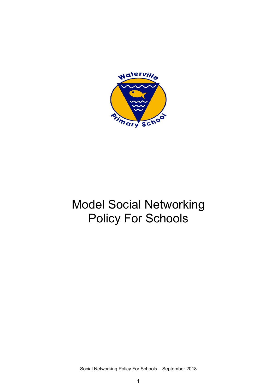

# Model Social Networking Policy For Schools

Social Networking Policy For Schools – September 2018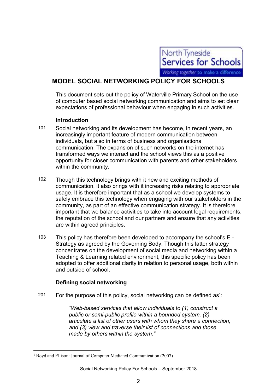

# MODEL SOCIAL NETWORKING POLICY FOR SCHOOLS

This document sets out the policy of Waterville Primary School on the use of computer based social networking communication and aims to set clear expectations of professional behaviour when engaging in such activities.

# Introduction

- 101 Social networking and its development has become, in recent years, an increasingly important feature of modern communication between individuals, but also in terms of business and organisational communication. The expansion of such networks on the internet has transformed ways we interact and the school views this as a positive opportunity for closer communication with parents and other stakeholders within the community.
- 102 Though this technology brings with it new and exciting methods of communication, it also brings with it increasing risks relating to appropriate usage. It is therefore important that as a school we develop systems to safely embrace this technology when engaging with our stakeholders in the community, as part of an effective communication strategy. It is therefore important that we balance activities to take into account legal requirements, the reputation of the school and our partners and ensure that any activities are within agreed principles.
- 103 This policy has therefore been developed to accompany the school's E Strategy as agreed by the Governing Body. Though this latter strategy concentrates on the development of social media and networking within a Teaching & Learning related environment, this specific policy has been adopted to offer additional clarity in relation to personal usage, both within and outside of school.

# Defining social networking

201 For the purpose of this policy, social networking can be defined as<sup>1</sup>:

"Web-based services that allow individuals to (1) construct a public or semi-public profile within a bounded system, (2) articulate a list of other users with whom they share a connection, and (3) view and traverse their list of connections and those made by others within the system."

 $\overline{a}$ 

<sup>&</sup>lt;sup>1</sup> Boyd and Ellison: Journal of Computer Mediated Communication (2007)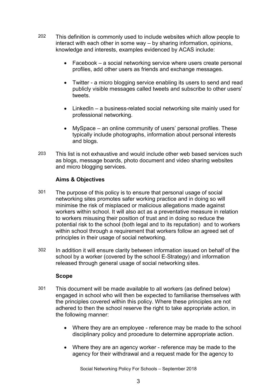- 202 This definition is commonly used to include websites which allow people to interact with each other in some way – by sharing information, opinions, knowledge and interests, examples evidenced by ACAS include:
	- Facebook a social networking service where users create personal profiles, add other users as friends and exchange messages.
	- Twitter a micro blogging service enabling its users to send and read publicly visible messages called tweets and subscribe to other users' tweets.
	- LinkedIn a business-related social networking site mainly used for professional networking.
	- MySpace an online community of users' personal profiles. These typically include photographs, information about personal interests and blogs.
- 203 This list is not exhaustive and would include other web based services such as blogs, message boards, photo document and video sharing websites and micro blogging services.

# Aims & Objectives

- 301 The purpose of this policy is to ensure that personal usage of social networking sites promotes safer working practice and in doing so will minimise the risk of misplaced or malicious allegations made against workers within school. It will also act as a preventative measure in relation to workers misusing their position of trust and in doing so reduce the potential risk to the school (both legal and to its reputation) and to workers within school through a requirement that workers follow an agreed set of principles in their usage of social networking.
- 302 In addition it will ensure clarity between information issued on behalf of the school by a worker (covered by the school E-Strategy) and information released through general usage of social networking sites.

#### Scope

- 301 This document will be made available to all workers (as defined below) engaged in school who will then be expected to familiarise themselves with the principles covered within this policy. Where these principles are not adhered to then the school reserve the right to take appropriate action, in the following manner:
	- Where they are an employee reference may be made to the school disciplinary policy and procedure to determine appropriate action.
	- Where they are an agency worker reference may be made to the agency for their withdrawal and a request made for the agency to

Social Networking Policy For Schools – September 2018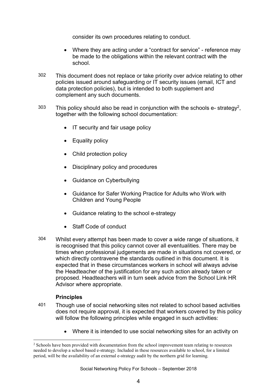consider its own procedures relating to conduct.

- Where they are acting under a "contract for service" reference may be made to the obligations within the relevant contract with the school.
- 302 This document does not replace or take priority over advice relating to other policies issued around safeguarding or IT security issues (email, ICT and data protection policies), but is intended to both supplement and complement any such documents.
- $303$  This policy should also be read in conjunction with the schools e- strategy<sup>2</sup>, together with the following school documentation:
	- IT security and fair usage policy
	- Equality policy
	- Child protection policy
	- Disciplinary policy and procedures
	- Guidance on Cyberbullying
	- Guidance for Safer Working Practice for Adults who Work with Children and Young People
	- Guidance relating to the school e-strategy
	- Staff Code of conduct
- 304 Whilst every attempt has been made to cover a wide range of situations, it is recognised that this policy cannot cover all eventualities. There may be times when professional judgements are made in situations not covered, or which directly contravene the standards outlined in this document. It is expected that in these circumstances workers in school will always advise the Headteacher of the justification for any such action already taken or proposed. Headteachers will in turn seek advice from the School Link HR Advisor where appropriate.

#### **Principles**

 $\overline{a}$ 

- 401 Though use of social networking sites not related to school based activities does not require approval, it is expected that workers covered by this policy will follow the following principles while engaged in such activities:
	- Where it is intended to use social networking sites for an activity on

<sup>&</sup>lt;sup>2</sup> Schools have been provided with documentation from the school improvement team relating to resources needed to develop a school based e-strategy. Included in these resources available to school, for a limited period, will be the availability of an external e-strategy audit by the northern grid for learning.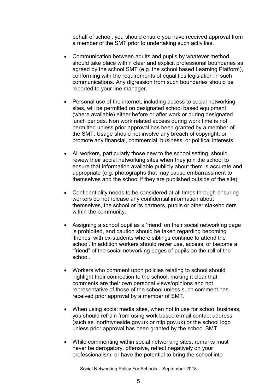behalf of school, you should ensure you have received approval from a member of the SMT prior to undertaking such activities.

- Communication between adults and pupils by whatever method, should take place within clear and explicit professional boundaries as agreed by the school SMT (e.g. the school based Learning Platform), conforming with the requirements of equalities legislation in such communications. Any digression from such boundaries should be reported to your line manager.
- Personal use of the internet, including access to social networking sites, will be permitted on designated school based equipment (where available) either before or after work or during designated lunch periods. Non work related access during work time is not permitted unless prior approval has been granted by a member of the SMT. Usage should not involve any breach of copyright, or promote any financial, commercial, business, or political interests.
- All workers, particularly those new to the school setting, should review their social networking sites when they join the school to ensure that information available publicly about them is accurate and appropriate (e.g. photographs that may cause embarrassment to themselves and the school if they are published outside of the site).
- Confidentiality needs to be considered at all times through ensuring workers do not release any confidential information about themselves, the school or its partners, pupils or other stakeholders within the community.
- Assigning a school pupil as a 'friend' on their social networking page is prohibited, and caution should be taken regarding becoming 'friends' with ex-students where siblings continue to attend the school. In addition workers should never use, access, or become a "friend" of the social networking pages of pupils on the roll of the school.
- Workers who comment upon policies relating to school should highlight their connection to the school, making it clear that comments are their own personal views/opinions and not representative of those of the school unless such comment has received prior approval by a member of SMT.
- When using social media sites, when not in use for school business, you should refrain from using work based e-mail contact address (such as .northtyneside.gov.uk or ntlp.gov.uk) or the school logo unless prior approval has been granted by the school SMT.
- While commenting within social networking sites, remarks must never be derogatory, offensive, reflect negatively on your professionalism, or have the potential to bring the school into

Social Networking Policy For Schools – September 2018